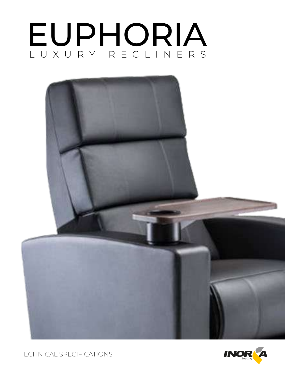# LUXURY RECLINERS EUPHORIA





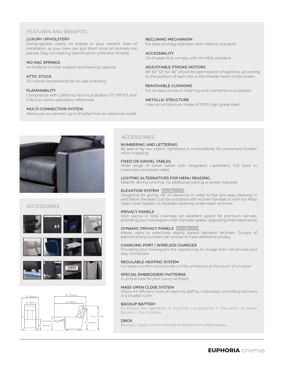## FEATURES AND BENEFITS

#### LUXURY UPHOLSTERY

Exchangeable covers, no staples or glue needed. Ease of installation as your crew can put them once all recliners are placed. Easy numbering identification (reflective thread)

#### NO-SAG SPRINGS

to reinforce lumbar support and bearing capacity.

#### ATTIC STOCK

2% critical components for on-site inventory

#### FLAMMABILITY

Compliance with California Technical Bulletin 117 (TB 117) and Crib 5 on some upholstery references

#### MULTI-CONNECTION SYSTEM

Allows you to connect up to 10 sofas from an electrical outlet

RECLINING MECHANISM

For back and leg extension (with electric actuator)

#### **ACCESSIBILITY**

2% of seats that comply with the ADA standard

#### ADJUSTABLE STROKE MOTORS

58" 60" 62" 64" 66" allows for optimization of sightline, according to the position of each row in the theater room vs the screen.

#### REMOVABLE CUSHIONS

For an easy access in cleaning and maintenance purposes

#### METALLIC STRUCTURE

Internal architecture made of 100% high grade steel



## **ACCESSORIES**







#### ACCESSORIES

#### NUMBERING AND LETTERING

By seat or by row, plastic, lightened or embroidered, for convenient theater room mapping

#### FIXED OR SWIVEL TABLES

Wide range of swivel tables with integrated cupholders. Full sized to maximize concession sales

#### LIGHTING ALTERNATIVES FOR MENU READING

Ideal for dining cinemas, no additional cabling or power required.

#### ELEVATION SYSTEM **PATENT PENDING**

Designing for giving +12" of clearance in order to fast and easy cleaning in and below the seats. Can be activated with recliner handset or with our Mass Open Close System, to facilitate cleaning underneath recliners

#### PRIVACY PANELS

With partial or total coverage, an excellent option for premium venues, providing your moviegoers with a private space, upgrading their experience.

#### DYNAMIC PRIVACY PANELS **PATENT PENDING**

Allows users to selectively deploy panels between recliners. Groups of patrons of any number can choose to have additional privacy.

#### CHARGING PORT / WIRELESS CHARGER

Providing your moviegoers the opportunity to charge their cell phones and stay connected.

#### REGULABLE HEATING SYSTEM

Increases comfort and provide a chilly ambience at the touch of a button

#### SPECIAL EMBROIDERY PATTERNS

A unique look for your luxury recliners

#### MASS OPEN CLOSE SYSTEM

Allows for efficient work of cleaning staff by collectively controlling recliners in a theater room

#### BACKUP BATTERY

To ensure the operation of electrical components in the event of power failures in the complex

#### DBOX

Realistic, haptic and immersive entertainment experiences.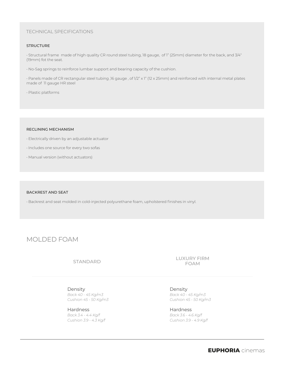## TECHNICAL SPECIFICATIONS

#### **STRUCTURE**

• Structural frame made of high quality CR round steel tubing, 18 gauge, of 1" (25mm) diameter for the back, and 3/4" (19mm) fot the seat.

• No-Sag springs to reinforce lumbar support and bearing capacity of the cushion.

• Panels made of CR rectangular steel tubing ,16 gauge , of 1/2" x 1" (12 x 25mm) and reinforced with internal metal plates made of 11 gauge HR steel

• Plastic platforms

#### RECLINING MECHANISM

- Electrically driven by an adjustable actuator
- Includes one source for every two sofas
- Manual version (without actuators)

#### BACKREST AND SEAT

• Backrest and seat molded in cold-injected polyurethane foam, upholstered finishes in vinyl.

## MOLDED FOAM

## STANDARD

LUXURY FIRM FOAM

Density *Back 40 - 45 Kg/m3 Cushion 45 - 50 Kg/m3*

Hardness *Back 3.4 - 4.4 Kg/f Cushion 3.9 - 4.3 Kg/f*

Density *Back 40 - 45 Kg/m3 Cushion 45 - 50 Kg/m3*

Hardness *Back 3.6 - 4.6 Kg/f Cushion 3.9 - 4.9 Kg/f*